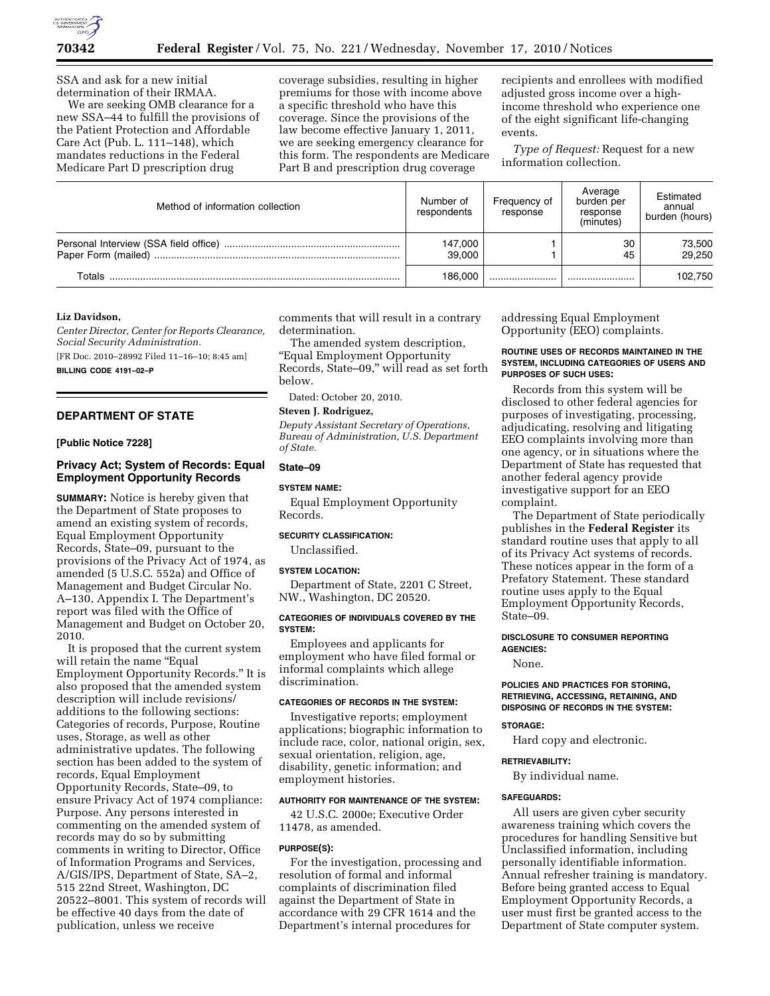

SSA and ask for a new initial determination of their IRMAA.

We are seeking OMB clearance for a new SSA–44 to fulfill the provisions of the Patient Protection and Affordable Care Act (Pub. L. 111–148), which mandates reductions in the Federal Medicare Part D prescription drug

coverage subsidies, resulting in higher premiums for those with income above a specific threshold who have this coverage. Since the provisions of the law become effective January 1, 2011, we are seeking emergency clearance for this form. The respondents are Medicare Part B and prescription drug coverage

recipients and enrollees with modified adjusted gross income over a highincome threshold who experience one of the eight significant life-changing events.

*Type of Request:* Request for a new information collection.

| Method of information collection | Number of<br>respondents | Frequency of<br>response | Average<br>burden per<br>response<br>(minutes) | Estimated<br>annual<br>burden (hours) |
|----------------------------------|--------------------------|--------------------------|------------------------------------------------|---------------------------------------|
|                                  | 147,000<br>39.000        |                          | 30<br>45                                       | 73,500<br>29.250                      |
| Totals                           | 186.000                  |                          |                                                | 102,750                               |

### **Liz Davidson,**

*Center Director, Center for Reports Clearance, Social Security Administration.*  [FR Doc. 2010–28992 Filed 11–16–10; 8:45 am]

**BILLING CODE 4191–02–P** 

## **DEPARTMENT OF STATE**

# **[Public Notice 7228]**

# **Privacy Act; System of Records: Equal Employment Opportunity Records**

**SUMMARY:** Notice is hereby given that the Department of State proposes to amend an existing system of records, Equal Employment Opportunity Records, State–09, pursuant to the provisions of the Privacy Act of 1974, as amended (5 U.S.C. 552a) and Office of Management and Budget Circular No. A–130, Appendix I. The Department's report was filed with the Office of Management and Budget on October 20, 2010.

It is proposed that the current system will retain the name "Equal Employment Opportunity Records.'' It is also proposed that the amended system description will include revisions/ additions to the following sections: Categories of records, Purpose, Routine uses, Storage, as well as other administrative updates. The following section has been added to the system of records, Equal Employment Opportunity Records, State–09, to ensure Privacy Act of 1974 compliance: Purpose. Any persons interested in commenting on the amended system of records may do so by submitting comments in writing to Director, Office of Information Programs and Services, A/GIS/IPS, Department of State, SA–2, 515 22nd Street, Washington, DC 20522–8001. This system of records will be effective 40 days from the date of publication, unless we receive

comments that will result in a contrary determination.

The amended system description, ''Equal Employment Opportunity Records, State–09,'' will read as set forth below.

Dated: October 20, 2010.

# **Steven J. Rodriguez,**

*Deputy Assistant Secretary of Operations, Bureau of Administration, U.S. Department of State.* 

# **State–09**

# **SYSTEM NAME:**

Equal Employment Opportunity Records.

### **SECURITY CLASSIFICATION:**

Unclassified.

#### **SYSTEM LOCATION:**

Department of State, 2201 C Street, NW., Washington, DC 20520.

## **CATEGORIES OF INDIVIDUALS COVERED BY THE SYSTEM:**

Employees and applicants for employment who have filed formal or informal complaints which allege discrimination.

# **CATEGORIES OF RECORDS IN THE SYSTEM:**

Investigative reports; employment applications; biographic information to include race, color, national origin, sex, sexual orientation, religion, age, disability, genetic information; and employment histories.

# **AUTHORITY FOR MAINTENANCE OF THE SYSTEM:**

42 U.S.C. 2000e; Executive Order 11478, as amended.

### **PURPOSE(S):**

For the investigation, processing and resolution of formal and informal complaints of discrimination filed against the Department of State in accordance with 29 CFR 1614 and the Department's internal procedures for

addressing Equal Employment Opportunity (EEO) complaints.

## **ROUTINE USES OF RECORDS MAINTAINED IN THE SYSTEM, INCLUDING CATEGORIES OF USERS AND PURPOSES OF SUCH USES:**

Records from this system will be disclosed to other federal agencies for purposes of investigating, processing, adjudicating, resolving and litigating EEO complaints involving more than one agency, or in situations where the Department of State has requested that another federal agency provide investigative support for an EEO complaint.

The Department of State periodically publishes in the **Federal Register** its standard routine uses that apply to all of its Privacy Act systems of records. These notices appear in the form of a Prefatory Statement. These standard routine uses apply to the Equal Employment Opportunity Records, State–09.

# **DISCLOSURE TO CONSUMER REPORTING AGENCIES:**

None.

### **POLICIES AND PRACTICES FOR STORING, RETRIEVING, ACCESSING, RETAINING, AND DISPOSING OF RECORDS IN THE SYSTEM:**

### **STORAGE:**

Hard copy and electronic.

#### **RETRIEVABILITY:**

By individual name.

#### **SAFEGUARDS:**

All users are given cyber security awareness training which covers the procedures for handling Sensitive but Unclassified information, including personally identifiable information. Annual refresher training is mandatory. Before being granted access to Equal Employment Opportunity Records, a user must first be granted access to the Department of State computer system.